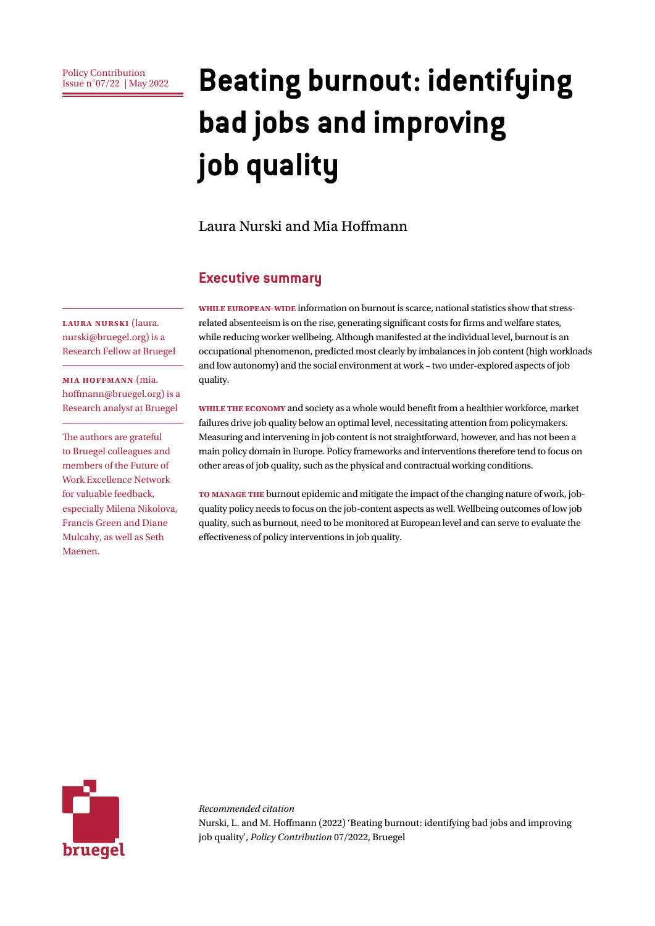Policy Contribution<br>Issue n°07/22 | May 2022

# **Beating burnout: identifying bad jobs and improving job quality**

#### Laura Nurski and Mia Hoffmann

#### **Executive summary**

**Laura Nurski** (laura. nurski@bruegel.org) is a Research Fellow at Bruegel

**Mia Hoffmann** (mia. hoffmann@bruegel.org) is a Research analyst at Bruegel

The authors are grateful to Bruegel colleagues and members of the Future of Work Excellence Network for valuable feedback, especially Milena Nikolova, Francis Green and Diane Mulcahy, as well as Seth Maenen.

**While European-wide** information on burnout is scarce, national statistics show that stressrelated absenteeism is on the rise, generating significant costs for firms and welfare states, while reducing worker wellbeing. Although manifested at the individual level, burnout is an occupational phenomenon, predicted most clearly by imbalances in job content (high workloads and low autonomy) and the social environment at work – two under-explored aspects of job quality.

**While the economy** and society as a whole would benefit from a healthier workforce, market failures drive job quality below an optimal level, necessitating attention from policymakers. Measuring and intervening in job content is not straightforward, however, and has not been a main policy domain in Europe. Policy frameworks and interventions therefore tend to focus on other areas of job quality, such as the physical and contractual working conditions.

**To manage the** burnout epidemic and mitigate the impact of the changing nature of work, jobquality policy needs to focus on the job-content aspects as well. Wellbeing outcomes of low job quality, such as burnout, need to be monitored at European level and can serve to evaluate the effectiveness of policy interventions in job quality.



*Recommended citation* Nurski, L. and M. Hoffmann (2022) 'Beating burnout: identifying bad jobs and improving job quality', *Policy Contribution* 07/2022, Bruegel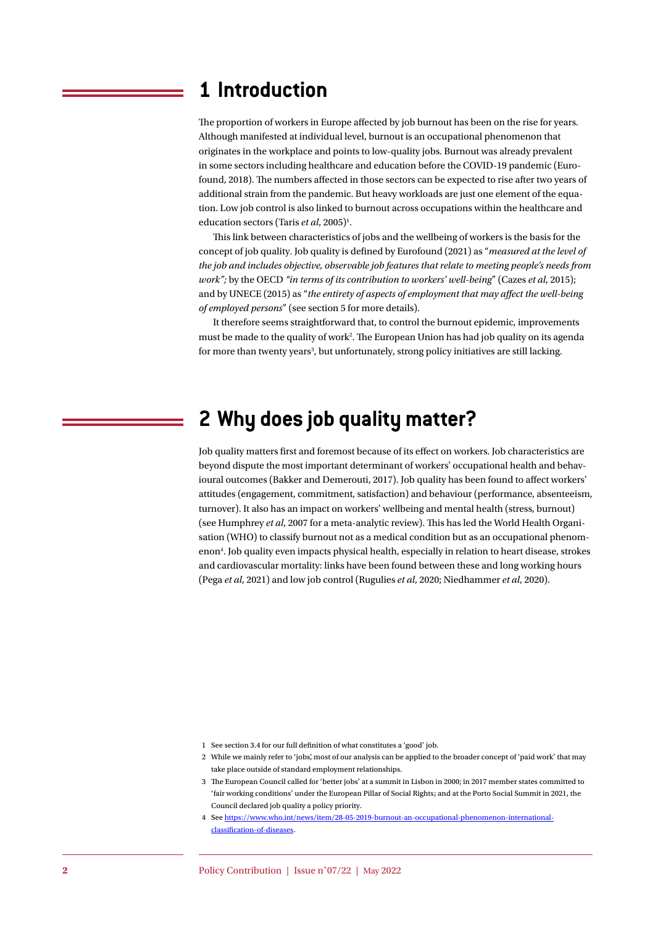### **1 Introduction**

The proportion of workers in Europe affected by job burnout has been on the rise for years. Although manifested at individual level, burnout is an occupational phenomenon that originates in the workplace and points to low-quality jobs. Burnout was already prevalent in some sectors including healthcare and education before the COVID-19 pandemic (Eurofound, 2018). The numbers affected in those sectors can be expected to rise after two years of additional strain from the pandemic. But heavy workloads are just one element of the equation. Low job control is also linked to burnout across occupations within the healthcare and education sectors (Taris et al, 2005)<sup>1</sup>.

This link between characteristics of jobs and the wellbeing of workers is the basis for the concept of job quality. Job quality is defined by Eurofound (2021) as "*measured at the level of the job and includes objective, observable job features that relate to meeting people's needs from work";* by the OECD *"in terms of its contribution to workers' well-being*" (Cazes *et al*, 2015); and by UNECE (2015) as "*the entirety of aspects of employment that may affect the well-being of employed persons*" (see section 5 for more details).

It therefore seems straightforward that, to control the burnout epidemic, improvements must be made to the quality of work2 . The European Union has had job quality on its agenda for more than twenty years<sup>3</sup>, but unfortunately, strong policy initiatives are still lacking.

# **2 Why does job quality matter?**

Job quality matters first and foremost because of its effect on workers. Job characteristics are beyond dispute the most important determinant of workers' occupational health and behavioural outcomes (Bakker and Demerouti, 2017). Job quality has been found to affect workers' attitudes (engagement, commitment, satisfaction) and behaviour (performance, absenteeism, turnover). It also has an impact on workers' wellbeing and mental health (stress, burnout) (see Humphrey *et al*, 2007 for a meta-analytic review). This has led the World Health Organisation (WHO) to classify burnout not as a medical condition but as an occupational phenomenon4 . Job quality even impacts physical health, especially in relation to heart disease, strokes and cardiovascular mortality: links have been found between these and long working hours (Pega *et al*, 2021) and low job control (Rugulies *et al*, 2020; Niedhammer *et al*, 2020).

- 1 See section 3.4 for our full definition of what constitutes a 'good' job.
- 2 While we mainly refer to 'jobs', most of our analysis can be applied to the broader concept of 'paid work' that may take place outside of standard employment relationships.
- 3 The European Council called for 'better jobs' at a summit in Lisbon in 2000; in 2017 member states committed to 'fair working conditions' under the European Pillar of Social Rights; and at the Porto Social Summit in 2021, the Council declared job quality a policy priority.
- 4 See [https://www.who.int/news/item/28-05-2019-burnout-an-occupational-phenomenon-international](https://www.who.int/news/item/28-05-2019-burn-out-an-occupational-phenomenon-international-classification-of-diseases)[classification-of-diseases](https://www.who.int/news/item/28-05-2019-burn-out-an-occupational-phenomenon-international-classification-of-diseases).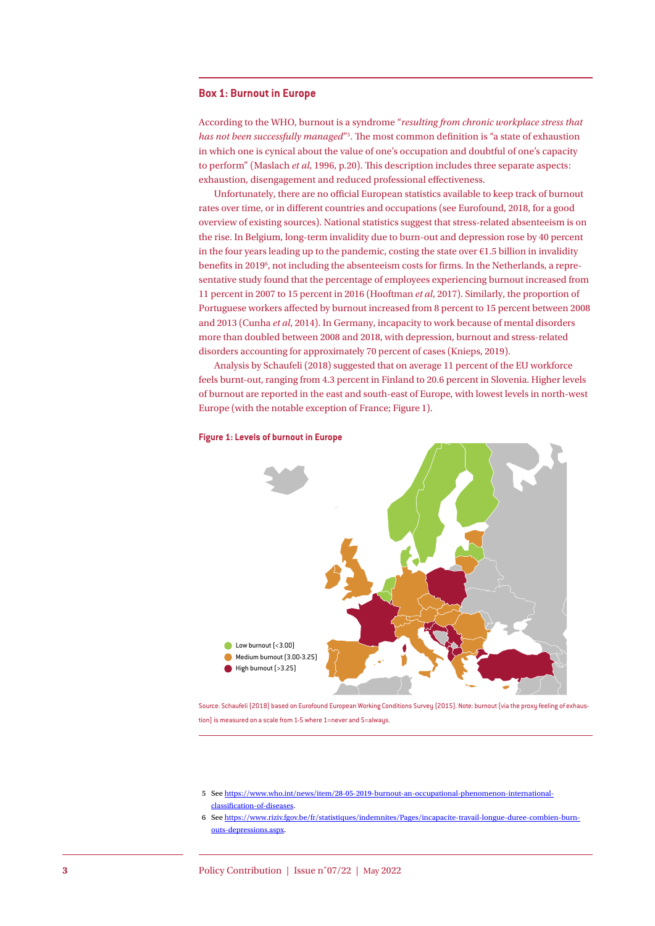#### **Box 1: Burnout in Europe**

According to the WHO, burnout is a syndrome "*resulting from chronic workplace stress that has not been successfully managed*"5 . The most common definition is "a state of exhaustion in which one is cynical about the value of one's occupation and doubtful of one's capacity to perform" (Maslach *et al*, 1996, p.20). This description includes three separate aspects: exhaustion, disengagement and reduced professional effectiveness.

Unfortunately, there are no official European statistics available to keep track of burnout rates over time, or in different countries and occupations (see Eurofound, 2018, for a good overview of existing sources). National statistics suggest that stress-related absenteeism is on the rise. In Belgium, long-term invalidity due to burn-out and depression rose by 40 percent in the four years leading up to the pandemic, costing the state over  $E1.5$  billion in invalidity benefits in 20196 , not including the absenteeism costs for firms. In the Netherlands, a representative study found that the percentage of employees experiencing burnout increased from 11 percent in 2007 to 15 percent in 2016 (Hooftman *et al*, 2017). Similarly, the proportion of Portuguese workers affected by burnout increased from 8 percent to 15 percent between 2008 and 2013 (Cunha *et al*, 2014). In Germany, incapacity to work because of mental disorders more than doubled between 2008 and 2018, with depression, burnout and stress-related disorders accounting for approximately 70 percent of cases (Knieps, 2019).

Analysis by Schaufeli (2018) suggested that on average 11 percent of the EU workforce feels burnt-out, ranging from 4.3 percent in Finland to 20.6 percent in Slovenia. Higher levels of burnout are reported in the east and south-east of Europe, with lowest levels in north-west Europe (with the notable exception of France; Figure 1).



#### **Figure 1: Levels of burnout in Europe**

Source: Schaufeli (2018) based on Eurofound European Working Conditions Survey (2015). Note: burnout (via the proxy feeling of exhaustion) is measured on a scale from 1-5 where 1=never and 5=always

<sup>5</sup> See [https://www.who.int/news/item/28-05-2019-burnout-an-occupational-phenomenon-international](https://www.who.int/news/item/28-05-2019-burn-out-an-occupational-phenomenon-international-classification-of-diseases)[classification-of-diseases](https://www.who.int/news/item/28-05-2019-burn-out-an-occupational-phenomenon-international-classification-of-diseases).

<sup>6</sup> See [https://www.riziv.fgov.be/fr/statistiques/indemnites/Pages/incapacite-travail-longue-duree-combien-burn](https://www.riziv.fgov.be/fr/statistiques/indemnites/Pages/incapacite-travail-longue-duree-combien-burn-outs-depressions.aspx)[outs-depressions.aspx](https://www.riziv.fgov.be/fr/statistiques/indemnites/Pages/incapacite-travail-longue-duree-combien-burn-outs-depressions.aspx).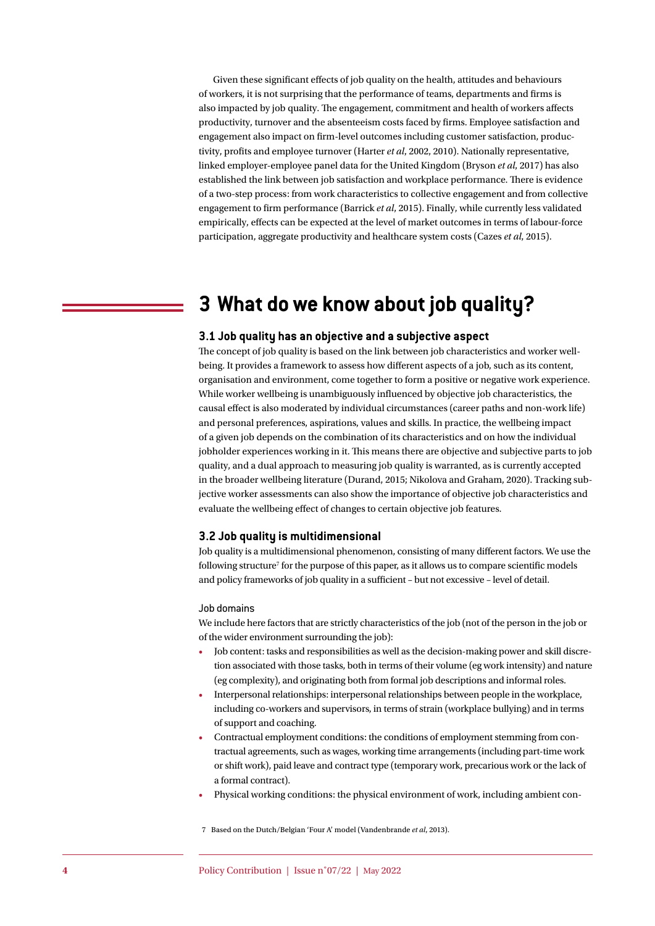Given these significant effects of job quality on the health, attitudes and behaviours of workers, it is not surprising that the performance of teams, departments and firms is also impacted by job quality. The engagement, commitment and health of workers affects productivity, turnover and the absenteeism costs faced by firms. Employee satisfaction and engagement also impact on firm-level outcomes including customer satisfaction, productivity, profits and employee turnover (Harter *et al*, 2002, 2010). Nationally representative, linked employer-employee panel data for the United Kingdom (Bryson *et al*, 2017) has also established the link between job satisfaction and workplace performance. There is evidence of a two-step process: from work characteristics to collective engagement and from collective engagement to firm performance (Barrick *et al*, 2015). Finally, while currently less validated empirically, effects can be expected at the level of market outcomes in terms of labour-force participation, aggregate productivity and healthcare system costs (Cazes *et al*, 2015).

# **3 What do we know about job quality?**

#### **3.1 Job quality has an objective and a subjective aspect**

The concept of job quality is based on the link between job characteristics and worker wellbeing. It provides a framework to assess how different aspects of a job, such as its content, organisation and environment, come together to form a positive or negative work experience. While worker wellbeing is unambiguously influenced by objective job characteristics, the causal effect is also moderated by individual circumstances (career paths and non-work life) and personal preferences, aspirations, values and skills. In practice, the wellbeing impact of a given job depends on the combination of its characteristics and on how the individual jobholder experiences working in it. This means there are objective and subjective parts to job quality, and a dual approach to measuring job quality is warranted, as is currently accepted in the broader wellbeing literature (Durand, 2015; Nikolova and Graham, 2020). Tracking subjective worker assessments can also show the importance of objective job characteristics and evaluate the wellbeing effect of changes to certain objective job features.

#### **3.2 Job quality is multidimensional**

Job quality is a multidimensional phenomenon, consisting of many different factors. We use the following structure<sup>7</sup> for the purpose of this paper, as it allows us to compare scientific models and policy frameworks of job quality in a sufficient – but not excessive – level of detail.

#### Job domains

We include here factors that are strictly characteristics of the job (not of the person in the job or of the wider environment surrounding the job):

- Job content: tasks and responsibilities as well as the decision-making power and skill discretion associated with those tasks, both in terms of their volume (eg work intensity) and nature (eg complexity), and originating both from formal job descriptions and informal roles.
- Interpersonal relationships: interpersonal relationships between people in the workplace, including co-workers and supervisors, in terms of strain (workplace bullying) and in terms of support and coaching.
- Contractual employment conditions: the conditions of employment stemming from contractual agreements, such as wages, working time arrangements (including part-time work or shift work), paid leave and contract type (temporary work, precarious work or the lack of a formal contract).
- Physical working conditions: the physical environment of work, including ambient con-

7 Based on the Dutch/Belgian 'Four A' model (Vandenbrande *et al*, 2013).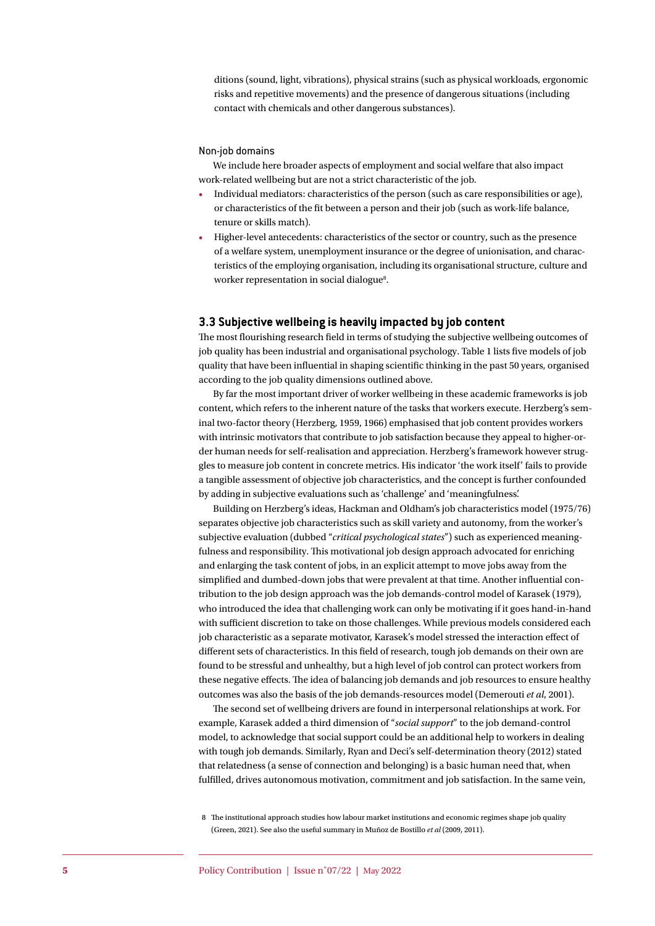ditions (sound, light, vibrations), physical strains (such as physical workloads, ergonomic risks and repetitive movements) and the presence of dangerous situations (including contact with chemicals and other dangerous substances).

#### Non-job domains

We include here broader aspects of employment and social welfare that also impact work-related wellbeing but are not a strict characteristic of the job.

- Individual mediators: characteristics of the person (such as care responsibilities or age), or characteristics of the fit between a person and their job (such as work-life balance, tenure or skills match).
- Higher-level antecedents: characteristics of the sector or country, such as the presence of a welfare system, unemployment insurance or the degree of unionisation, and characteristics of the employing organisation, including its organisational structure, culture and worker representation in social dialogue<sup>8</sup>.

#### **3.3 Subjective wellbeing is heavily impacted by job content**

The most flourishing research field in terms of studying the subjective wellbeing outcomes of job quality has been industrial and organisational psychology. Table 1 lists five models of job quality that have been influential in shaping scientific thinking in the past 50 years, organised according to the job quality dimensions outlined above.

By far the most important driver of worker wellbeing in these academic frameworks is job content, which refers to the inherent nature of the tasks that workers execute. Herzberg's seminal two-factor theory (Herzberg, 1959, 1966) emphasised that job content provides workers with intrinsic motivators that contribute to job satisfaction because they appeal to higher-order human needs for self-realisation and appreciation. Herzberg's framework however struggles to measure job content in concrete metrics. His indicator 'the work itself' fails to provide a tangible assessment of objective job characteristics, and the concept is further confounded by adding in subjective evaluations such as 'challenge' and 'meaningfulness'.

Building on Herzberg's ideas, Hackman and Oldham's job characteristics model (1975/76) separates objective job characteristics such as skill variety and autonomy, from the worker's subjective evaluation (dubbed "*critical psychological states*") such as experienced meaningfulness and responsibility. This motivational job design approach advocated for enriching and enlarging the task content of jobs, in an explicit attempt to move jobs away from the simplified and dumbed-down jobs that were prevalent at that time. Another influential contribution to the job design approach was the job demands-control model of Karasek (1979), who introduced the idea that challenging work can only be motivating if it goes hand-in-hand with sufficient discretion to take on those challenges. While previous models considered each job characteristic as a separate motivator, Karasek's model stressed the interaction effect of different sets of characteristics. In this field of research, tough job demands on their own are found to be stressful and unhealthy, but a high level of job control can protect workers from these negative effects. The idea of balancing job demands and job resources to ensure healthy outcomes was also the basis of the job demands-resources model (Demerouti *et al*, 2001).

The second set of wellbeing drivers are found in interpersonal relationships at work. For example, Karasek added a third dimension of "*social support*" to the job demand-control model, to acknowledge that social support could be an additional help to workers in dealing with tough job demands. Similarly, Ryan and Deci's self-determination theory (2012) stated that relatedness (a sense of connection and belonging) is a basic human need that, when fulfilled, drives autonomous motivation, commitment and job satisfaction. In the same vein,

<sup>8</sup> The institutional approach studies how labour market institutions and economic regimes shape job quality (Green, 2021). See also the useful summary in Muñoz de Bostillo *et al* (2009, 2011).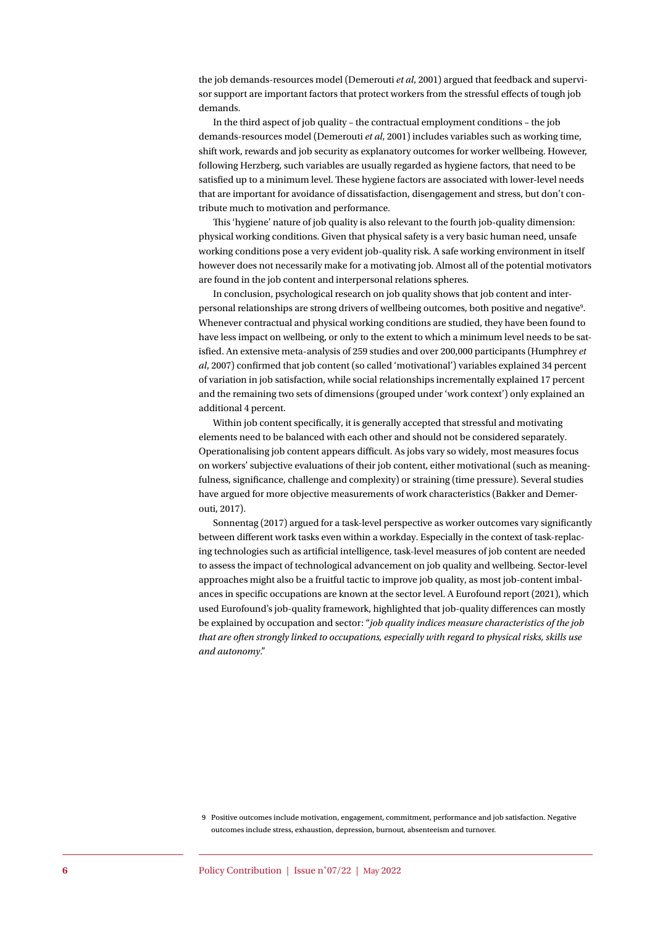the job demands-resources model (Demerouti *et al*, 2001) argued that feedback and supervisor support are important factors that protect workers from the stressful effects of tough job demands.

In the third aspect of job quality – the contractual employment conditions – the job demands-resources model (Demerouti *et al*, 2001) includes variables such as working time, shift work, rewards and job security as explanatory outcomes for worker wellbeing. However, following Herzberg, such variables are usually regarded as hygiene factors, that need to be satisfied up to a minimum level. These hygiene factors are associated with lower-level needs that are important for avoidance of dissatisfaction, disengagement and stress, but don't contribute much to motivation and performance.

This 'hygiene' nature of job quality is also relevant to the fourth job-quality dimension: physical working conditions. Given that physical safety is a very basic human need, unsafe working conditions pose a very evident job-quality risk. A safe working environment in itself however does not necessarily make for a motivating job. Almost all of the potential motivators are found in the job content and interpersonal relations spheres.

In conclusion, psychological research on job quality shows that job content and interpersonal relationships are strong drivers of wellbeing outcomes, both positive and negative<sup>9</sup>. Whenever contractual and physical working conditions are studied, they have been found to have less impact on wellbeing, or only to the extent to which a minimum level needs to be satisfied. An extensive meta-analysis of 259 studies and over 200,000 participants (Humphrey *et al*, 2007) confirmed that job content (so called 'motivational') variables explained 34 percent of variation in job satisfaction, while social relationships incrementally explained 17 percent and the remaining two sets of dimensions (grouped under 'work context') only explained an additional 4 percent.

Within job content specifically, it is generally accepted that stressful and motivating elements need to be balanced with each other and should not be considered separately. Operationalising job content appears difficult. As jobs vary so widely, most measures focus on workers' subjective evaluations of their job content, either motivational (such as meaningfulness, significance, challenge and complexity) or straining (time pressure). Several studies have argued for more objective measurements of work characteristics (Bakker and Demerouti, 2017).

Sonnentag (2017) argued for a task-level perspective as worker outcomes vary significantly between different work tasks even within a workday. Especially in the context of task-replacing technologies such as artificial intelligence, task-level measures of job content are needed to assess the impact of technological advancement on job quality and wellbeing. Sector-level approaches might also be a fruitful tactic to improve job quality, as most job-content imbalances in specific occupations are known at the sector level. A Eurofound report (2021), which used Eurofound's job-quality framework, highlighted that job-quality differences can mostly be explained by occupation and sector: "*job quality indices measure characteristics of the job that are often strongly linked to occupations, especially with regard to physical risks, skills use and autonomy*."

<sup>9</sup> Positive outcomes include motivation, engagement, commitment, performance and job satisfaction. Negative outcomes include stress, exhaustion, depression, burnout, absenteeism and turnover.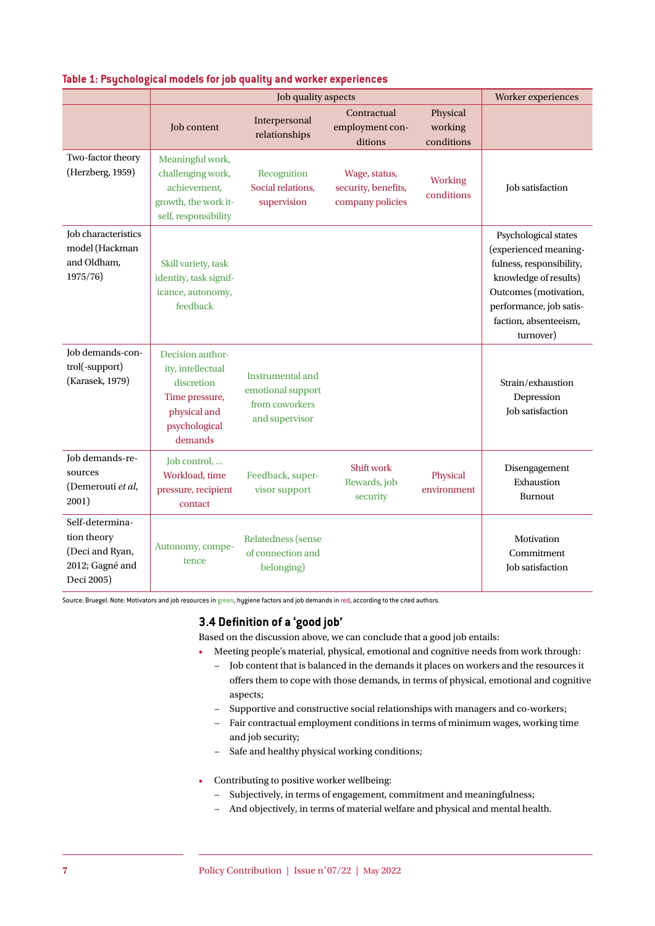|                                                                                    |                                                                                                                   | Worker experiences                                                        |                                                          |                                   |                                                                                                                                                                                              |
|------------------------------------------------------------------------------------|-------------------------------------------------------------------------------------------------------------------|---------------------------------------------------------------------------|----------------------------------------------------------|-----------------------------------|----------------------------------------------------------------------------------------------------------------------------------------------------------------------------------------------|
|                                                                                    | Job content                                                                                                       | Job quality aspects<br>Interpersonal<br>relationships                     | Contractual<br>employment con-<br>ditions                | Physical<br>working<br>conditions |                                                                                                                                                                                              |
| Two-factor theory<br>(Herzberg, 1959)                                              | Meaningful work,<br>challenging work,<br>achievement,<br>growth, the work it-<br>self, responsibility             | Recognition<br>Social relations,<br>supervision                           | Wage, status,<br>security, benefits,<br>company policies | Working<br>conditions             | Job satisfaction                                                                                                                                                                             |
| <b>Job characteristics</b><br>model (Hackman<br>and Oldham,<br>1975/76             | Skill variety, task<br>identity, task signif-<br>icance, autonomy,<br>feedback                                    |                                                                           |                                                          |                                   | Psychological states<br>(experienced meaning-<br>fulness, responsibility,<br>knowledge of results)<br>Outcomes (motivation,<br>performance, job satis-<br>faction, absenteeism,<br>turnover) |
| Job demands-con-<br>trol(-support)<br>(Karasek, 1979)                              | Decision author-<br>ity, intellectual<br>discretion<br>Time pressure,<br>physical and<br>psychological<br>demands | Instrumental and<br>emotional support<br>from coworkers<br>and supervisor |                                                          |                                   | Strain/exhaustion<br>Depression<br>Job satisfaction                                                                                                                                          |
| Job demands-re-<br>sources<br>(Demerouti et al,<br>2001)                           | Job control,<br>Workload, time<br>pressure, recipient<br>contact                                                  | Feedback, super-<br>visor support                                         | <b>Shift work</b><br>Rewards, job<br>security            | Physical<br>environment           | Disengagement<br>Exhaustion<br><b>Burnout</b>                                                                                                                                                |
| Self-determina-<br>tion theory<br>(Deci and Ryan,<br>2012; Gagné and<br>Deci 2005) | Autonomy, compe-<br>tence                                                                                         | Relatedness (sense<br>of connection and<br>belonging)                     |                                                          |                                   | Motivation<br>Commitment<br>Job satisfaction                                                                                                                                                 |

#### **Table 1: Psychological models for job quality and worker experiences**

Source: Bruegel. Note: Motivators and job resources in green, hygiene factors and job demands in red, according to the cited authors.

#### **3.4 Definition of a 'good job'**

Based on the discussion above, we can conclude that a good job entails:

- Meeting people's material, physical, emotional and cognitive needs from work through: − Job content that is balanced in the demands it places on workers and the resources it offers them to cope with those demands, in terms of physical, emotional and cognitive aspects;
	- − Supportive and constructive social relationships with managers and co-workers;
	- − Fair contractual employment conditions in terms of minimum wages, working time and job security;
	- − Safe and healthy physical working conditions;
- Contributing to positive worker wellbeing:
	- − Subjectively, in terms of engagement, commitment and meaningfulness;
	- − And objectively, in terms of material welfare and physical and mental health.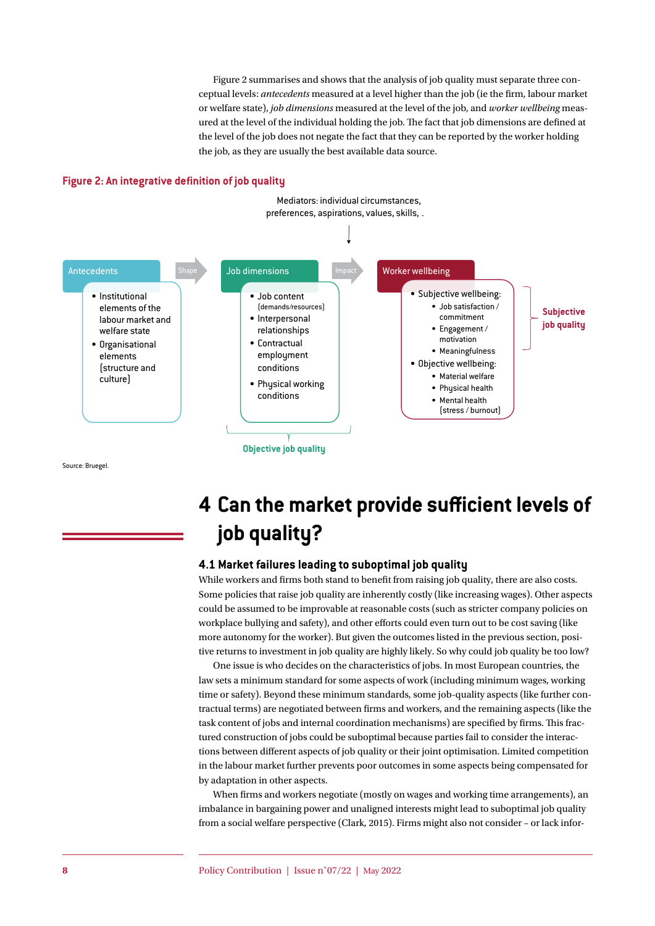Figure 2 summarises and shows that the analysis of job quality must separate three conceptual levels: *antecedents* measured at a level higher than the job (ie the firm, labour market or welfare state), *job dimensions* measured at the level of the job, and *worker wellbeing* measured at the level of the individual holding the job. The fact that job dimensions are defined at the level of the job does not negate the fact that they can be reported by the worker holding the job, as they are usually the best available data source.





Source: Bruegel.

# **4 Can the market provide sufficient levels of job quality?**

#### **4.1 Market failures leading to suboptimal job quality**

While workers and firms both stand to benefit from raising job quality, there are also costs. Some policies that raise job quality are inherently costly (like increasing wages). Other aspects could be assumed to be improvable at reasonable costs (such as stricter company policies on workplace bullying and safety), and other efforts could even turn out to be cost saving (like more autonomy for the worker). But given the outcomes listed in the previous section, positive returns to investment in job quality are highly likely. So why could job quality be too low?

One issue is who decides on the characteristics of jobs. In most European countries, the law sets a minimum standard for some aspects of work (including minimum wages, working time or safety). Beyond these minimum standards, some job-quality aspects (like further contractual terms) are negotiated between firms and workers, and the remaining aspects (like the task content of jobs and internal coordination mechanisms) are specified by firms. This fractured construction of jobs could be suboptimal because parties fail to consider the interactions between different aspects of job quality or their joint optimisation. Limited competition in the labour market further prevents poor outcomes in some aspects being compensated for by adaptation in other aspects.

When firms and workers negotiate (mostly on wages and working time arrangements), an imbalance in bargaining power and unaligned interests might lead to suboptimal job quality from a social welfare perspective (Clark, 2015). Firms might also not consider – or lack infor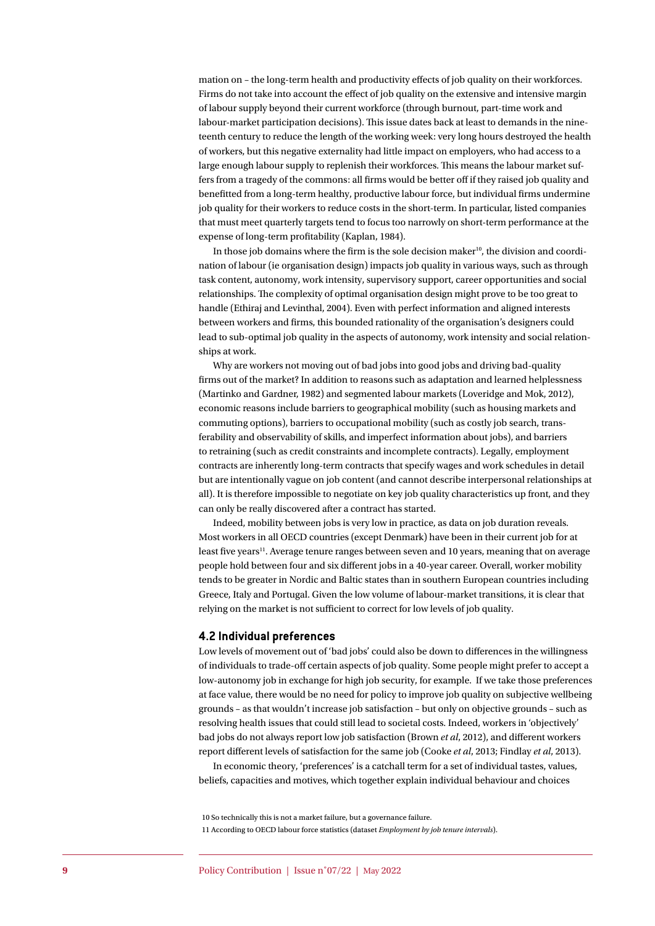mation on – the long-term health and productivity effects of job quality on their workforces. Firms do not take into account the effect of job quality on the extensive and intensive margin of labour supply beyond their current workforce (through burnout, part-time work and labour-market participation decisions). This issue dates back at least to demands in the nineteenth century to reduce the length of the working week: very long hours destroyed the health of workers, but this negative externality had little impact on employers, who had access to a large enough labour supply to replenish their workforces. This means the labour market suffers from a tragedy of the commons: all firms would be better off if they raised job quality and benefitted from a long-term healthy, productive labour force, but individual firms undermine job quality for their workers to reduce costs in the short-term. In particular, listed companies that must meet quarterly targets tend to focus too narrowly on short-term performance at the expense of long-term profitability (Kaplan, 1984).

In those job domains where the firm is the sole decision maker<sup>10</sup>, the division and coordination of labour (ie organisation design) impacts job quality in various ways, such as through task content, autonomy, work intensity, supervisory support, career opportunities and social relationships. The complexity of optimal organisation design might prove to be too great to handle (Ethiraj and Levinthal, 2004). Even with perfect information and aligned interests between workers and firms, this bounded rationality of the organisation's designers could lead to sub-optimal job quality in the aspects of autonomy, work intensity and social relationships at work.

Why are workers not moving out of bad jobs into good jobs and driving bad-quality firms out of the market? In addition to reasons such as adaptation and learned helplessness (Martinko and Gardner, 1982) and segmented labour markets (Loveridge and Mok, 2012), economic reasons include barriers to geographical mobility (such as housing markets and commuting options), barriers to occupational mobility (such as costly job search, transferability and observability of skills, and imperfect information about jobs), and barriers to retraining (such as credit constraints and incomplete contracts). Legally, employment contracts are inherently long-term contracts that specify wages and work schedules in detail but are intentionally vague on job content (and cannot describe interpersonal relationships at all). It is therefore impossible to negotiate on key job quality characteristics up front, and they can only be really discovered after a contract has started.

Indeed, mobility between jobs is very low in practice, as data on job duration reveals. Most workers in all OECD countries (except Denmark) have been in their current job for at least five years<sup>11</sup>. Average tenure ranges between seven and 10 years, meaning that on average people hold between four and six different jobs in a 40-year career. Overall, worker mobility tends to be greater in Nordic and Baltic states than in southern European countries including Greece, Italy and Portugal. Given the low volume of labour-market transitions, it is clear that relying on the market is not sufficient to correct for low levels of job quality.

#### **4.2 Individual preferences**

Low levels of movement out of 'bad jobs' could also be down to differences in the willingness of individuals to trade-off certain aspects of job quality. Some people might prefer to accept a low-autonomy job in exchange for high job security, for example. If we take those preferences at face value, there would be no need for policy to improve job quality on subjective wellbeing grounds – as that wouldn't increase job satisfaction – but only on objective grounds – such as resolving health issues that could still lead to societal costs. Indeed, workers in 'objectively' bad jobs do not always report low job satisfaction (Brown *et al*, 2012), and different workers report different levels of satisfaction for the same job (Cooke *et al*, 2013; Findlay *et al*, 2013).

In economic theory, 'preferences' is a catchall term for a set of individual tastes, values, beliefs, capacities and motives, which together explain individual behaviour and choices

10 So technically this is not a market failure, but a governance failure. 11 According to OECD labour force statistics (dataset *Employment by job tenure intervals*).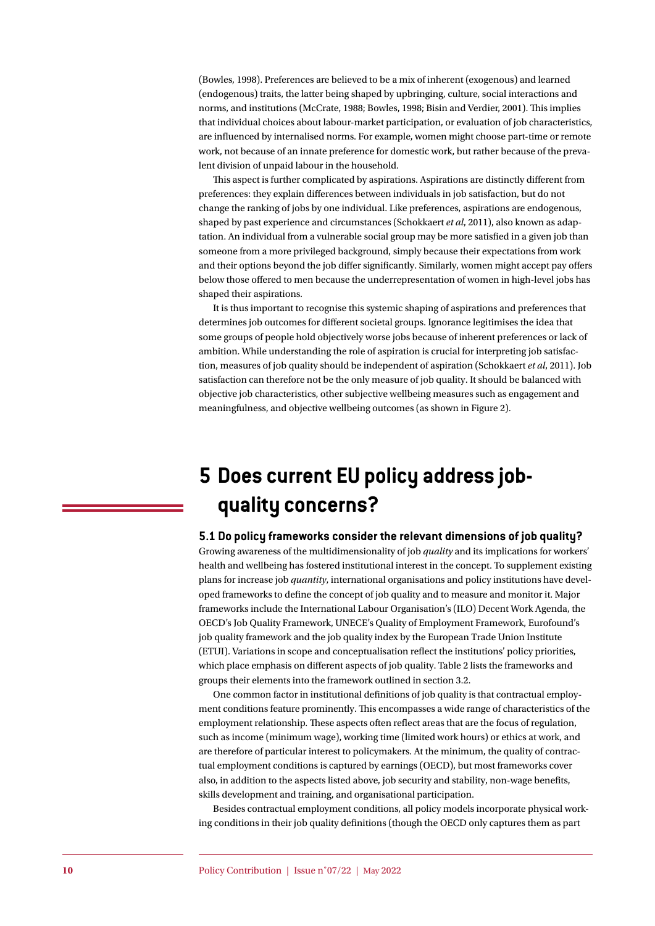(Bowles, 1998). Preferences are believed to be a mix of inherent (exogenous) and learned (endogenous) traits, the latter being shaped by upbringing, culture, social interactions and norms, and institutions (McCrate, 1988; Bowles, 1998; Bisin and Verdier, 2001). This implies that individual choices about labour-market participation, or evaluation of job characteristics, are influenced by internalised norms. For example, women might choose part-time or remote work, not because of an innate preference for domestic work, but rather because of the prevalent division of unpaid labour in the household.

This aspect is further complicated by aspirations. Aspirations are distinctly different from preferences: they explain differences between individuals in job satisfaction, but do not change the ranking of jobs by one individual. Like preferences, aspirations are endogenous, shaped by past experience and circumstances (Schokkaert *et al*, 2011), also known as adaptation. An individual from a vulnerable social group may be more satisfied in a given job than someone from a more privileged background, simply because their expectations from work and their options beyond the job differ significantly. Similarly, women might accept pay offers below those offered to men because the underrepresentation of women in high-level jobs has shaped their aspirations.

It is thus important to recognise this systemic shaping of aspirations and preferences that determines job outcomes for different societal groups. Ignorance legitimises the idea that some groups of people hold objectively worse jobs because of inherent preferences or lack of ambition. While understanding the role of aspiration is crucial for interpreting job satisfaction, measures of job quality should be independent of aspiration (Schokkaert *et al*, 2011). Job satisfaction can therefore not be the only measure of job quality. It should be balanced with objective job characteristics, other subjective wellbeing measures such as engagement and meaningfulness, and objective wellbeing outcomes (as shown in Figure 2).

# **5 Does current EU policy address jobquality concerns?**

**5.1 Do policy frameworks consider the relevant dimensions of job quality?**

Growing awareness of the multidimensionality of job *quality* and its implications for workers' health and wellbeing has fostered institutional interest in the concept. To supplement existing plans for increase job *quantity*, international organisations and policy institutions have developed frameworks to define the concept of job quality and to measure and monitor it. Major frameworks include the International Labour Organisation's (ILO) Decent Work Agenda, the OECD's Job Quality Framework, UNECE's Quality of Employment Framework, Eurofound's job quality framework and the job quality index by the European Trade Union Institute (ETUI). Variations in scope and conceptualisation reflect the institutions' policy priorities, which place emphasis on different aspects of job quality. Table 2 lists the frameworks and groups their elements into the framework outlined in section 3.2.

One common factor in institutional definitions of job quality is that contractual employment conditions feature prominently. This encompasses a wide range of characteristics of the employment relationship. These aspects often reflect areas that are the focus of regulation, such as income (minimum wage), working time (limited work hours) or ethics at work, and are therefore of particular interest to policymakers. At the minimum, the quality of contractual employment conditions is captured by earnings (OECD), but most frameworks cover also, in addition to the aspects listed above, job security and stability, non-wage benefits, skills development and training, and organisational participation.

Besides contractual employment conditions, all policy models incorporate physical working conditions in their job quality definitions (though the OECD only captures them as part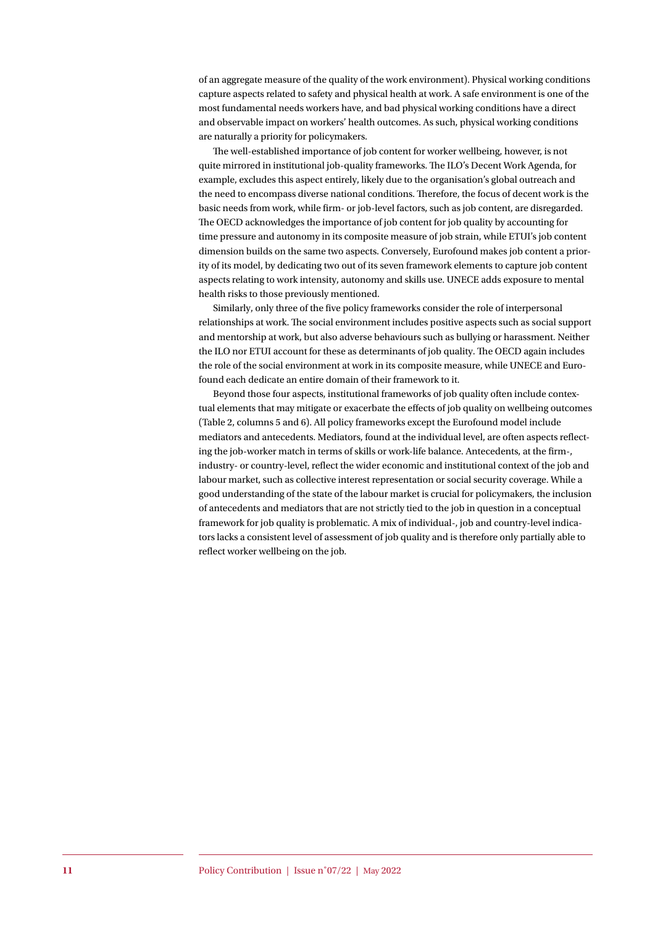of an aggregate measure of the quality of the work environment). Physical working conditions capture aspects related to safety and physical health at work. A safe environment is one of the most fundamental needs workers have, and bad physical working conditions have a direct and observable impact on workers' health outcomes. As such, physical working conditions are naturally a priority for policymakers.

The well-established importance of job content for worker wellbeing, however, is not quite mirrored in institutional job-quality frameworks. The ILO's Decent Work Agenda, for example, excludes this aspect entirely, likely due to the organisation's global outreach and the need to encompass diverse national conditions. Therefore, the focus of decent work is the basic needs from work, while firm- or job-level factors, such as job content, are disregarded. The OECD acknowledges the importance of job content for job quality by accounting for time pressure and autonomy in its composite measure of job strain, while ETUI's job content dimension builds on the same two aspects. Conversely, Eurofound makes job content a priority of its model, by dedicating two out of its seven framework elements to capture job content aspects relating to work intensity, autonomy and skills use. UNECE adds exposure to mental health risks to those previously mentioned.

Similarly, only three of the five policy frameworks consider the role of interpersonal relationships at work. The social environment includes positive aspects such as social support and mentorship at work, but also adverse behaviours such as bullying or harassment. Neither the ILO nor ETUI account for these as determinants of job quality. The OECD again includes the role of the social environment at work in its composite measure, while UNECE and Eurofound each dedicate an entire domain of their framework to it.

Beyond those four aspects, institutional frameworks of job quality often include contextual elements that may mitigate or exacerbate the effects of job quality on wellbeing outcomes (Table 2, columns 5 and 6). All policy frameworks except the Eurofound model include mediators and antecedents. Mediators, found at the individual level, are often aspects reflecting the job-worker match in terms of skills or work-life balance. Antecedents, at the firm-, industry- or country-level, reflect the wider economic and institutional context of the job and labour market, such as collective interest representation or social security coverage. While a good understanding of the state of the labour market is crucial for policymakers, the inclusion of antecedents and mediators that are not strictly tied to the job in question in a conceptual framework for job quality is problematic. A mix of individual-, job and country-level indicators lacks a consistent level of assessment of job quality and is therefore only partially able to reflect worker wellbeing on the job.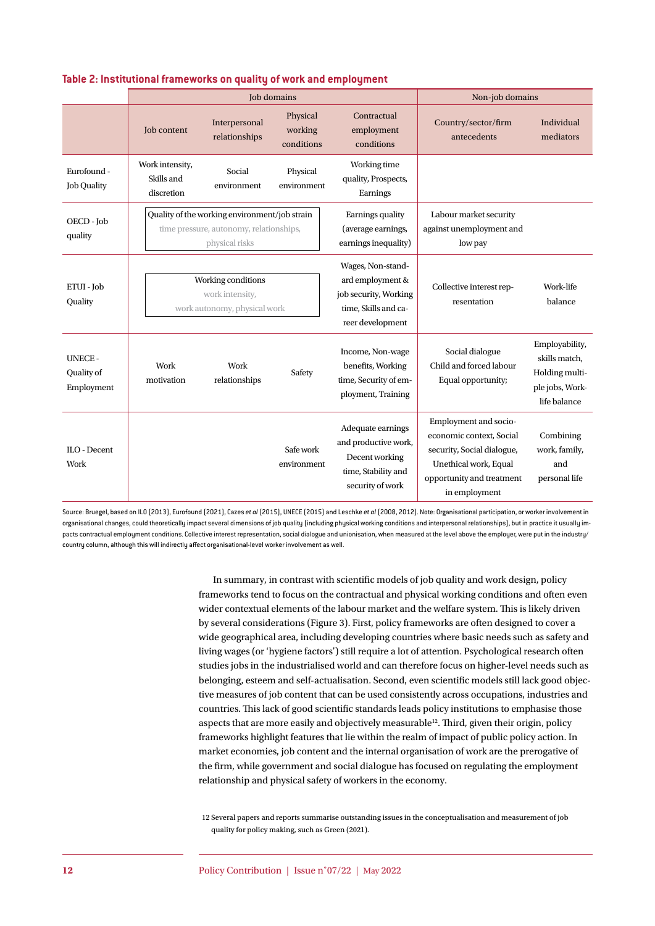|                                           |                                                                                                            | Job domains                    | Non-job domains                   |                                                                                                            |                                                                                                                                                        |                                                                                      |  |  |  |  |  |
|-------------------------------------------|------------------------------------------------------------------------------------------------------------|--------------------------------|-----------------------------------|------------------------------------------------------------------------------------------------------------|--------------------------------------------------------------------------------------------------------------------------------------------------------|--------------------------------------------------------------------------------------|--|--|--|--|--|
|                                           | Job content                                                                                                | Interpersonal<br>relationships | Physical<br>working<br>conditions | Contractual<br>employment<br>conditions                                                                    | Country/sector/firm<br>antecedents                                                                                                                     | Individual<br>mediators                                                              |  |  |  |  |  |
| Eurofound -<br><b>Job Quality</b>         | Work intensity,<br>Skills and<br>discretion                                                                | Social<br>environment          | Physical<br>environment           | Working time<br>quality, Prospects,<br>Earnings                                                            |                                                                                                                                                        |                                                                                      |  |  |  |  |  |
| OECD - Job<br>quality                     | Quality of the working environment/job strain<br>time pressure, autonomy, relationships,<br>physical risks |                                |                                   | Earnings quality<br>(average earnings,<br>earnings inequality)                                             | Labour market security<br>against unemployment and<br>low pay                                                                                          |                                                                                      |  |  |  |  |  |
| ETUI - Job<br>Quality                     | Working conditions<br>work intensity,<br>work autonomy, physical work                                      |                                |                                   | Wages, Non-stand-<br>ard employment &<br>job security, Working<br>time, Skills and ca-<br>reer development | Collective interest rep-<br>resentation                                                                                                                | Work-life<br>balance                                                                 |  |  |  |  |  |
| <b>UNECE-</b><br>Quality of<br>Employment | Work<br>motivation                                                                                         | Work<br>relationships          | Safety                            | Income, Non-wage<br>benefits, Working<br>time, Security of em-<br>ployment, Training                       | Social dialogue<br>Child and forced labour<br>Equal opportunity;                                                                                       | Employability,<br>skills match,<br>Holding multi-<br>ple jobs, Work-<br>life balance |  |  |  |  |  |
| ILO - Decent<br>Work                      |                                                                                                            |                                | Safe work<br>environment          | Adequate earnings<br>and productive work,<br>Decent working<br>time, Stability and<br>security of work     | Employment and socio-<br>economic context, Social<br>security, Social dialogue,<br>Unethical work, Equal<br>opportunity and treatment<br>in employment | Combining<br>work, family,<br>and<br>personal life                                   |  |  |  |  |  |

#### **Table 2: Institutional frameworks on quality of work and employment**

Source: Bruegel, based on ILO (2013), Eurofound (2021), Cazes *et al* (2015), UNECE (2015) and Leschke *et al* (2008, 2012). Note: Organisational participation, or worker involvement in organisational changes, could theoretically impact several dimensions of job quality (including physical working conditions and interpersonal relationships), but in practice it usually impacts contractual employment conditions. Collective interest representation, social dialogue and unionisation, when measured at the level above the employer, were put in the industry/ country column, although this will indirectly affect organisational-level worker involvement as well.

> In summary, in contrast with scientific models of job quality and work design, policy frameworks tend to focus on the contractual and physical working conditions and often even wider contextual elements of the labour market and the welfare system. This is likely driven by several considerations (Figure 3). First, policy frameworks are often designed to cover a wide geographical area, including developing countries where basic needs such as safety and living wages (or 'hygiene factors') still require a lot of attention. Psychological research often studies jobs in the industrialised world and can therefore focus on higher-level needs such as belonging, esteem and self-actualisation. Second, even scientific models still lack good objective measures of job content that can be used consistently across occupations, industries and countries. This lack of good scientific standards leads policy institutions to emphasise those aspects that are more easily and objectively measurable<sup>12</sup>. Third, given their origin, policy frameworks highlight features that lie within the realm of impact of public policy action. In market economies, job content and the internal organisation of work are the prerogative of the firm, while government and social dialogue has focused on regulating the employment relationship and physical safety of workers in the economy.

12 Several papers and reports summarise outstanding issues in the conceptualisation and measurement of job quality for policy making, such as Green (2021).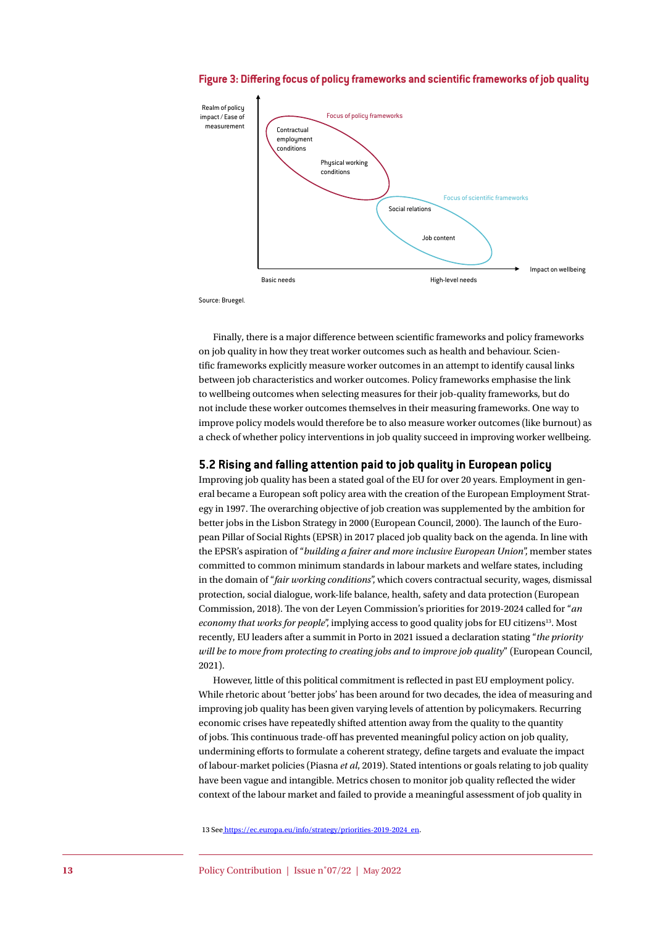



Source: Bruegel.

Finally, there is a major difference between scientific frameworks and policy frameworks on job quality in how they treat worker outcomes such as health and behaviour. Scientific frameworks explicitly measure worker outcomes in an attempt to identify causal links between job characteristics and worker outcomes. Policy frameworks emphasise the link to wellbeing outcomes when selecting measures for their job-quality frameworks, but do not include these worker outcomes themselves in their measuring frameworks. One way to improve policy models would therefore be to also measure worker outcomes (like burnout) as a check of whether policy interventions in job quality succeed in improving worker wellbeing.

#### **5.2 Rising and falling attention paid to job quality in European policy**

Improving job quality has been a stated goal of the EU for over 20 years. Employment in general became a European soft policy area with the creation of the European Employment Strategy in 1997. The overarching objective of job creation was supplemented by the ambition for better jobs in the Lisbon Strategy in 2000 (European Council, 2000). The launch of the European Pillar of Social Rights (EPSR) in 2017 placed job quality back on the agenda. In line with the EPSR's aspiration of "*building a fairer and more inclusive European Union*", member states committed to common minimum standards in labour markets and welfare states, including in the domain of "*fair working conditions*", which covers contractual security, wages, dismissal protection, social dialogue, work-life balance, health, safety and data protection (European Commission, 2018). The von der Leyen Commission's priorities for 2019-2024 called for "*an economy that works for people*", implying access to good quality jobs for EU citizens<sup>13</sup>. Most recently, EU leaders after a summit in Porto in 2021 issued a declaration stating "*the priority will be to move from protecting to creating jobs and to improve job quality*" (European Council, 2021).

However, little of this political commitment is reflected in past EU employment policy. While rhetoric about 'better jobs' has been around for two decades, the idea of measuring and improving job quality has been given varying levels of attention by policymakers. Recurring economic crises have repeatedly shifted attention away from the quality to the quantity of jobs. This continuous trade-off has prevented meaningful policy action on job quality, undermining efforts to formulate a coherent strategy, define targets and evaluate the impact of labour-market policies (Piasna *et al*, 2019). Stated intentions or goals relating to job quality have been vague and intangible. Metrics chosen to monitor job quality reflected the wider context of the labour market and failed to provide a meaningful assessment of job quality in

13 See [https://ec.europa.eu/info/strategy/priorities-2019-2024\\_en](https://ec.europa.eu/info/strategy/priorities-2019-2024_en).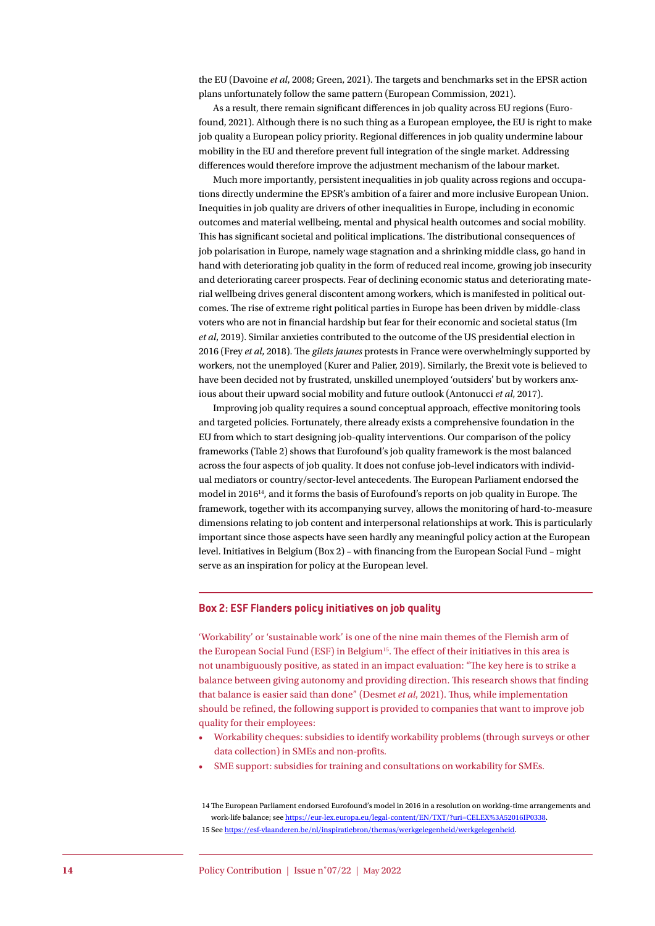the EU (Davoine *et al*, 2008; Green, 2021). The targets and benchmarks set in the EPSR action plans unfortunately follow the same pattern (European Commission, 2021).

As a result, there remain significant differences in job quality across EU regions (Eurofound, 2021). Although there is no such thing as a European employee, the EU is right to make job quality a European policy priority. Regional differences in job quality undermine labour mobility in the EU and therefore prevent full integration of the single market. Addressing differences would therefore improve the adjustment mechanism of the labour market.

Much more importantly, persistent inequalities in job quality across regions and occupations directly undermine the EPSR's ambition of a fairer and more inclusive European Union. Inequities in job quality are drivers of other inequalities in Europe, including in economic outcomes and material wellbeing, mental and physical health outcomes and social mobility. This has significant societal and political implications. The distributional consequences of job polarisation in Europe, namely wage stagnation and a shrinking middle class, go hand in hand with deteriorating job quality in the form of reduced real income, growing job insecurity and deteriorating career prospects. Fear of declining economic status and deteriorating material wellbeing drives general discontent among workers, which is manifested in political outcomes. The rise of extreme right political parties in Europe has been driven by middle-class voters who are not in financial hardship but fear for their economic and societal status (Im *et al*, 2019). Similar anxieties contributed to the outcome of the US presidential election in 2016 (Frey *et al*, 2018). The *gilets jaunes* protests in France were overwhelmingly supported by workers, not the unemployed (Kurer and Palier, 2019). Similarly, the Brexit vote is believed to have been decided not by frustrated, unskilled unemployed 'outsiders' but by workers anxious about their upward social mobility and future outlook (Antonucci *et al*, 2017).

Improving job quality requires a sound conceptual approach, effective monitoring tools and targeted policies. Fortunately, there already exists a comprehensive foundation in the EU from which to start designing job-quality interventions. Our comparison of the policy frameworks (Table 2) shows that Eurofound's job quality framework is the most balanced across the four aspects of job quality. It does not confuse job-level indicators with individual mediators or country/sector-level antecedents. The European Parliament endorsed the model in 201614, and it forms the basis of Eurofound's reports on job quality in Europe. The framework, together with its accompanying survey, allows the monitoring of hard-to-measure dimensions relating to job content and interpersonal relationships at work. This is particularly important since those aspects have seen hardly any meaningful policy action at the European level. Initiatives in Belgium (Box 2) – with financing from the European Social Fund – might serve as an inspiration for policy at the European level.

#### **Box 2: ESF Flanders policy initiatives on job quality**

'Workability' or 'sustainable work' is one of the nine main themes of the Flemish arm of the European Social Fund (ESF) in Belgium15. The effect of their initiatives in this area is not unambiguously positive, as stated in an impact evaluation: "The key here is to strike a balance between giving autonomy and providing direction. This research shows that finding that balance is easier said than done" (Desmet *et al*, 2021). Thus, while implementation should be refined, the following support is provided to companies that want to improve job quality for their employees:

- Workability cheques: subsidies to identify workability problems (through surveys or other data collection) in SMEs and non-profits.
- SME support: subsidies for training and consultations on workability for SMEs.

<sup>14</sup> The European Parliament endorsed Eurofound's model in 2016 in a resolution on working-time arrangements and work-life balance; see <https://eur-lex.europa.eu/legal-content/EN/TXT/?uri=CELEX%3A52016IP0338>. 15 See <https://esf-vlaanderen.be/nl/inspiratiebron/themas/werkgelegenheid/werkgelegenheid>.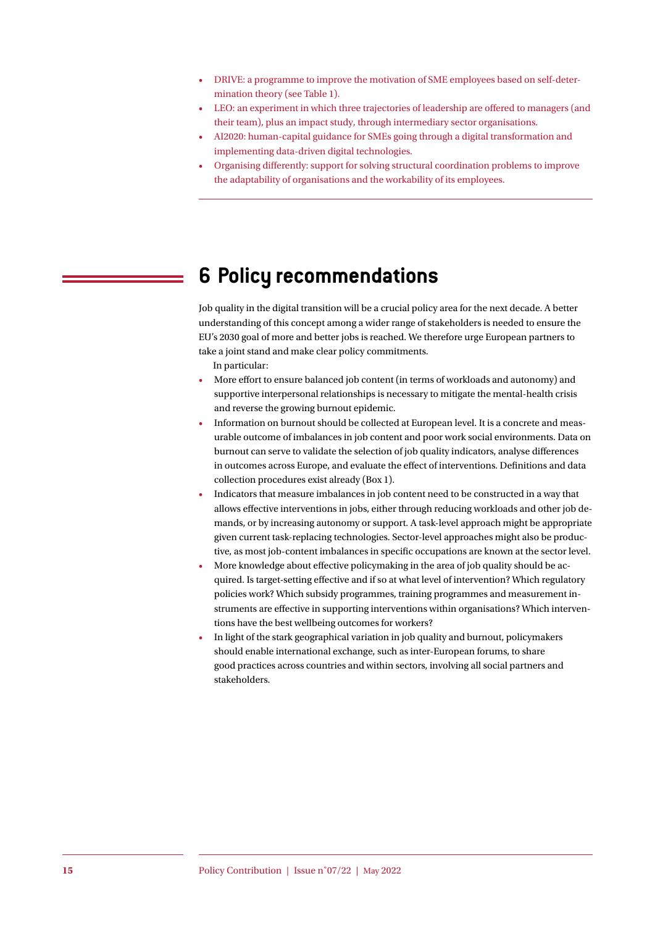- DRIVE: a programme to improve the motivation of SME employees based on self-determination theory (see Table 1).
- LEO: an experiment in which three trajectories of leadership are offered to managers (and their team), plus an impact study, through intermediary sector organisations.
- AI2020: human-capital guidance for SMEs going through a digital transformation and implementing data-driven digital technologies.
- Organising differently: support for solving structural coordination problems to improve the adaptability of organisations and the workability of its employees.

# **6 Policy recommendations**

Job quality in the digital transition will be a crucial policy area for the next decade. A better understanding of this concept among a wider range of stakeholders is needed to ensure the EU's 2030 goal of more and better jobs is reached. We therefore urge European partners to take a joint stand and make clear policy commitments.

In particular:

- More effort to ensure balanced job content (in terms of workloads and autonomy) and supportive interpersonal relationships is necessary to mitigate the mental-health crisis and reverse the growing burnout epidemic.
- Information on burnout should be collected at European level. It is a concrete and measurable outcome of imbalances in job content and poor work social environments. Data on burnout can serve to validate the selection of job quality indicators, analyse differences in outcomes across Europe, and evaluate the effect of interventions. Definitions and data collection procedures exist already (Box 1).
- Indicators that measure imbalances in job content need to be constructed in a way that allows effective interventions in jobs, either through reducing workloads and other job demands, or by increasing autonomy or support. A task-level approach might be appropriate given current task-replacing technologies. Sector-level approaches might also be productive, as most job-content imbalances in specific occupations are known at the sector level.
- More knowledge about effective policymaking in the area of job quality should be acquired. Is target-setting effective and if so at what level of intervention? Which regulatory policies work? Which subsidy programmes, training programmes and measurement instruments are effective in supporting interventions within organisations? Which interventions have the best wellbeing outcomes for workers?
- In light of the stark geographical variation in job quality and burnout, policymakers should enable international exchange, such as inter-European forums, to share good practices across countries and within sectors, involving all social partners and stakeholders.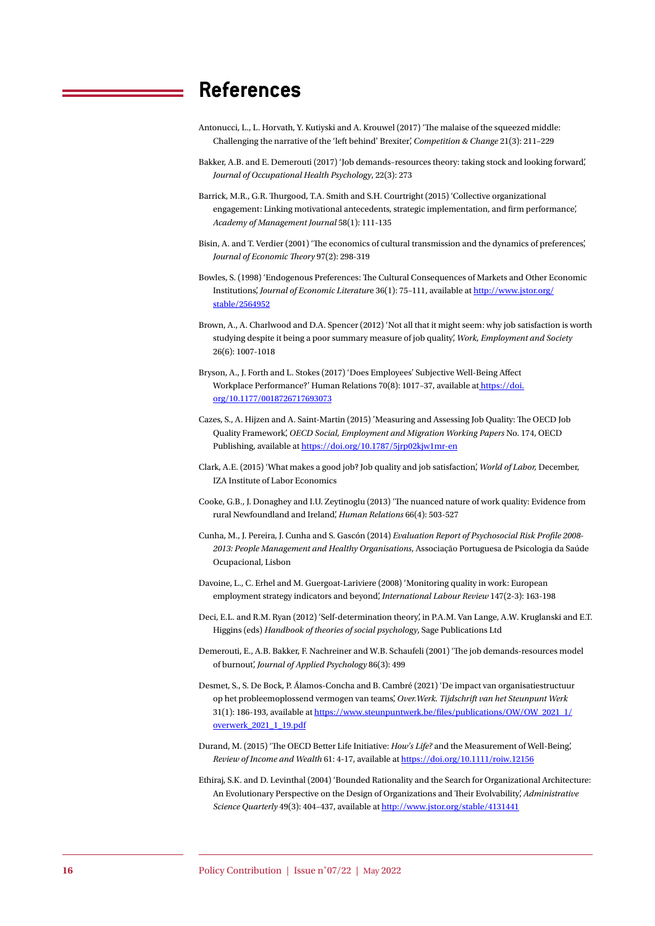### **References**

- Antonucci, L., L. Horvath, Y. Kutiyski and A. Krouwel (2017) 'The malaise of the squeezed middle: Challenging the narrative of the 'left behind' Brexiter', *Competition & Change* 21(3): 211–229
- Bakker, A.B. and E. Demerouti (2017) 'Job demands–resources theory: taking stock and looking forward', *Journal of Occupational Health Psychology*, 22(3): 273
- Barrick, M.R., G.R. Thurgood, T.A. Smith and S.H. Courtright (2015) 'Collective organizational engagement: Linking motivational antecedents, strategic implementation, and firm performance', *Academy of Management Journal* 58(1): 111-135
- Bisin, A. and T. Verdier (2001) 'The economics of cultural transmission and the dynamics of preferences', *Journal of Economic Theory* 97(2): 298-319
- Bowles, S. (1998) 'Endogenous Preferences: The Cultural Consequences of Markets and Other Economic Institutions', *Journal of Economic Literatur*e 36(1): 75–111, available at [http://www.jstor.org/](http://www.jstor.org/stable/2564952) [stable/2564952](http://www.jstor.org/stable/2564952)
- Brown, A., A. Charlwood and D.A. Spencer (2012) 'Not all that it might seem: why job satisfaction is worth studying despite it being a poor summary measure of job quality', *Work, Employment and Society*  26(6): 1007-1018
- Bryson, A., J. Forth and L. Stokes (2017) 'Does Employees' Subjective Well-Being Affect Workplace Performance?' Human Relations 70(8): 1017–37, available a[t https://doi.]( https://doi.org/10.1177/0018726717693073) [org/10.1177/0018726717693073]( https://doi.org/10.1177/0018726717693073)
- Cazes, S., A. Hijzen and A. Saint-Martin (2015) 'Measuring and Assessing Job Quality: The OECD Job Quality Framework', *OECD Social, Employment and Migration Working Papers* No. 174, OECD Publishing, available at<https://doi.org/10.1787/5jrp02kjw1mr-en>
- Clark, A.E. (2015) 'What makes a good job? Job quality and job satisfaction', *World of Labor,* December, IZA Institute of Labor Economics
- Cooke, G.B., J. Donaghey and I.U. Zeytinoglu (2013) 'The nuanced nature of work quality: Evidence from rural Newfoundland and Ireland', *Human Relations* 66(4): 503-527
- Cunha, M., J. Pereira, J. Cunha and S. Gascón (2014) *Evaluation Report of Psychosocial Risk Profile 2008- 2013: People Management and Healthy Organisations*, Associação Portuguesa de Psicologia da Saúde Ocupacional, Lisbon
- Davoine, L., C. Erhel and M. Guergoat-Lariviere (2008) 'Monitoring quality in work: European employment strategy indicators and beyond', *International Labour Review* 147(2-3): 163-198
- Deci, E.L. and R.M. Ryan (2012) 'Self-determination theory', in P.A.M. Van Lange, A.W. Kruglanski and E.T. Higgins (eds) *Handbook of theories of social psychology*, Sage Publications Ltd
- Demerouti, E., A.B. Bakker, F. Nachreiner and W.B. Schaufeli (2001) 'The job demands-resources model of burnout', *Journal of Applied Psychology* 86(3): 499
- Desmet, S., S. De Bock, P. Álamos-Concha and B. Cambré (2021) 'De impact van organisatiestructuur op het probleemoplossend vermogen van teams', *Over.Werk. Tijdschrift van het Steunpunt Werk*  31(1): 186-193, available at [https://www.steunpuntwerk.be/files/publications/OW/OW\\_2021\\_1/](https://www.steunpuntwerk.be/files/publications/OW/OW_2021_1/overwerk_2021_1_19.pdf) [overwerk\\_2021\\_1\\_19.pdf](https://www.steunpuntwerk.be/files/publications/OW/OW_2021_1/overwerk_2021_1_19.pdf)
- Durand, M. (2015) 'The OECD Better Life Initiative: *How's Life?* and the Measurement of Well-Being', *Review of Income and Wealth* 61: 4-17, available at <https://doi.org/10.1111/roiw.12156>
- Ethiraj, S.K. and D. Levinthal (2004) 'Bounded Rationality and the Search for Organizational Architecture: An Evolutionary Perspective on the Design of Organizations and Their Evolvability', *Administrative Science Quarterly* 49(3): 404–437, available at <http://www.jstor.org/stable/4131441>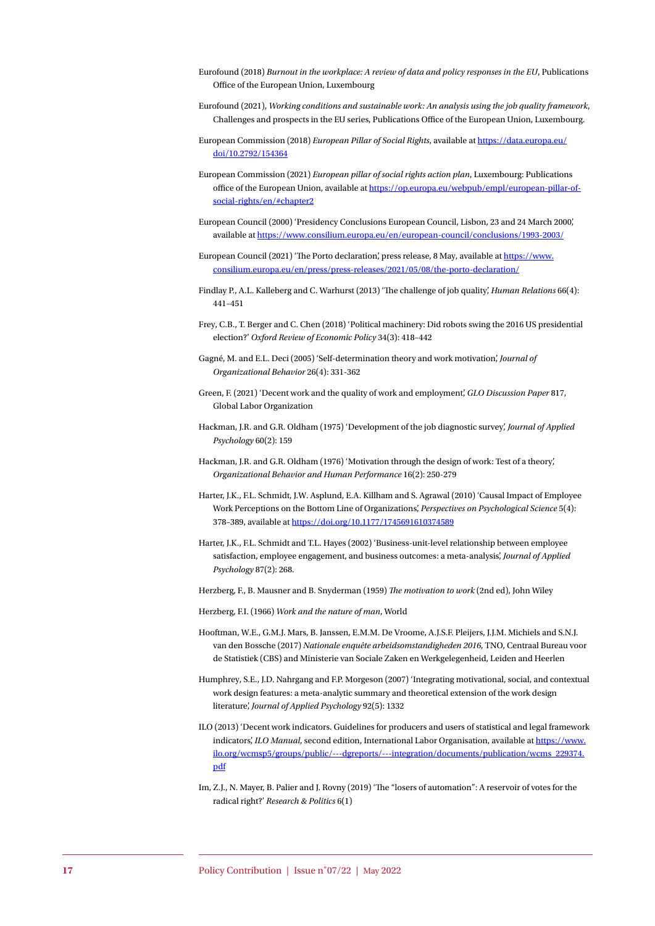- Eurofound (2018) *Burnout in the workplace: A review of data and policy responses in the EU*, Publications Office of the European Union, Luxembourg
- Eurofound (2021), *Working conditions and sustainable work: An analysis using the job quality framework*, Challenges and prospects in the EU series, Publications Office of the European Union, Luxembourg.
- European Commission (2018) *European Pillar of Social Rights*, available at [https://data.europa.eu/](https://data.europa.eu/doi/10.2792/154364) [doi/10.2792/154364](https://data.europa.eu/doi/10.2792/154364)
- European Commission (2021) *European pillar of social rights action plan*, Luxembourg: Publications office of the European Union, available at [https://op.europa.eu/webpub/empl/european-pillar-of](https://op.europa.eu/webpub/empl/european-pillar-of-social-rights/en/#chapter2)[social-rights/en/#chapter2](https://op.europa.eu/webpub/empl/european-pillar-of-social-rights/en/#chapter2)
- European Council (2000) 'Presidency Conclusions European Council, Lisbon, 23 and 24 March 2000', available at <https://www.consilium.europa.eu/en/european-council/conclusions/1993-2003/>
- European Council (2021) 'The Porto declaration', press release, 8 May, available at [https://www.](https://www.consilium.europa.eu/en/press/press-releases/2021/05/08/the-porto-declaration/) [consilium.europa.eu/en/press/press-releases/2021/05/08/the-porto-declaration/](https://www.consilium.europa.eu/en/press/press-releases/2021/05/08/the-porto-declaration/)
- Findlay P., A.L. Kalleberg and C. Warhurst (2013) 'The challenge of job quality', *Human Relations* 66(4): 441–451
- Frey, C.B., T. Berger and C. Chen (2018) 'Political machinery: Did robots swing the 2016 US presidential election?' *Oxford Review of Economic Policy* 34(3): 418–442
- Gagné, M. and E.L. Deci (2005) 'Self-determination theory and work motivation', *Journal of Organizational Behavior* 26(4): 331-362
- Green, F. (2021) 'Decent work and the quality of work and employment', *GLO Discussion Paper* 817, Global Labor Organization
- Hackman, J.R. and G.R. Oldham (1975) 'Development of the job diagnostic survey', *Journal of Applied Psychology* 60(2): 159
- Hackman, J.R. and G.R. Oldham (1976) 'Motivation through the design of work: Test of a theory', *Organizational Behavior and Human Performance* 16(2): 250-279
- Harter, J.K., F.L. Schmidt, J.W. Asplund, E.A. Killham and S. Agrawal (2010) 'Causal Impact of Employee Work Perceptions on the Bottom Line of Organizations', *Perspectives on Psychological Science* 5(4): 378–389, available at<https://doi.org/10.1177/1745691610374589>
- Harter, J.K., F.L. Schmidt and T.L. Hayes (2002) 'Business-unit-level relationship between employee satisfaction, employee engagement, and business outcomes: a meta-analysis', *Journal of Applied Psychology* 87(2): 268.

Herzberg, F., B. Mausner and B. Snyderman (1959) *The motivation to work* (2nd ed), John Wiley

Herzberg, F.I. (1966) *Work and the nature of man*, World

- Hooftman, W.E., G.M.J. Mars, B. Janssen, E.M.M. De Vroome, A.J.S.F. Pleijers, J.J.M. Michiels and S.N.J. van den Bossche (2017) *Nationale enquête arbeidsomstandigheden 2016*, TNO, Centraal Bureau voor de Statistiek (CBS) and Ministerie van Sociale Zaken en Werkgelegenheid, Leiden and Heerlen
- Humphrey, S.E., J.D. Nahrgang and F.P. Morgeson (2007) 'Integrating motivational, social, and contextual work design features: a meta-analytic summary and theoretical extension of the work design literature', *Journal of Applied Psychology* 92(5): 1332
- ILO (2013) 'Decent work indicators. Guidelines for producers and users of statistical and legal framework indicators', *ILO Manual*, second edition, International Labor Organisation, available at [https://www.](https://www.ilo.org/wcmsp5/groups/public/---dgreports/---integration/documents/publication/wcms_229374.pdf) [ilo.org/wcmsp5/groups/public/---dgreports/---integration/documents/publication/wcms\\_229374.](https://www.ilo.org/wcmsp5/groups/public/---dgreports/---integration/documents/publication/wcms_229374.pdf) [pdf](https://www.ilo.org/wcmsp5/groups/public/---dgreports/---integration/documents/publication/wcms_229374.pdf)
- Im, Z.J., N. Mayer, B. Palier and J. Rovny (2019) 'The "losers of automation": A reservoir of votes for the radical right?' *Research & Politics* 6(1)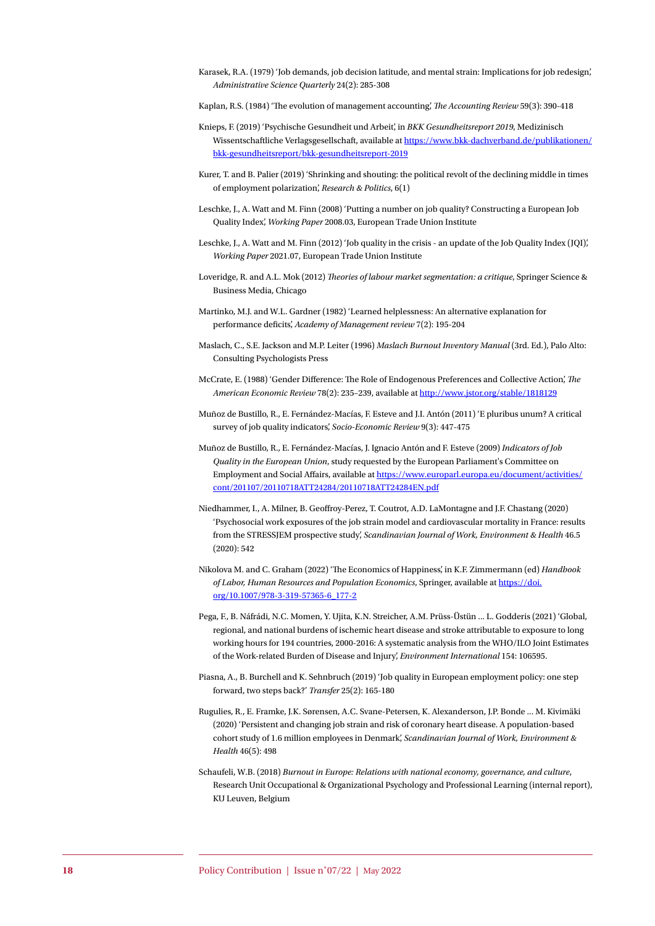- Karasek, R.A. (1979) 'Job demands, job decision latitude, and mental strain: Implications for job redesign', *Administrative Science Quarterly* 24(2): 285-308
- Kaplan, R.S. (1984) 'The evolution of management accounting', *The Accounting Review* 59(3): 390-418
- Knieps, F. (2019) 'Psychische Gesundheit und Arbeit', in *BKK Gesundheitsreport 2019*, Medizinisch Wissentschaftliche Verlagsgesellschaft, available at [https://www.bkk-dachverband.de/publikationen/](https://www.bkk-dachverband.de/publikationen/bkk-gesundheitsreport/bkk-gesundheitsreport-2019) [bkk-gesundheitsreport/bkk-gesundheitsreport-2019](https://www.bkk-dachverband.de/publikationen/bkk-gesundheitsreport/bkk-gesundheitsreport-2019)
- Kurer, T. and B. Palier (2019) 'Shrinking and shouting: the political revolt of the declining middle in times of employment polarization', *Research & Politics*, 6(1)
- Leschke, J., A. Watt and M. Finn (2008) 'Putting a number on job quality? Constructing a European Job Quality Index', *Working Paper* 2008.03, European Trade Union Institute
- Leschke, J., A. Watt and M. Finn (2012) 'Job quality in the crisis an update of the Job Quality Index (JQI)', *Working Paper* 2021.07, European Trade Union Institute
- Loveridge, R. and A.L. Mok (2012) *Theories of labour market segmentation: a critique*, Springer Science & Business Media, Chicago
- Martinko, M.J. and W.L. Gardner (1982) 'Learned helplessness: An alternative explanation for performance deficits', *Academy of Management review* 7(2): 195-204
- Maslach, C., S.E. Jackson and M.P. Leiter (1996) *Maslach Burnout Inventory Manual* (3rd. Ed.), Palo Alto: Consulting Psychologists Press
- McCrate, E. (1988) 'Gender Difference: The Role of Endogenous Preferences and Collective Action', *The American Economic Review* 78(2): 235–239, available at <http://www.jstor.org/stable/1818129>
- Muñoz de Bustillo, R., E. Fernández-Macías, F. Esteve and J.I. Antón (2011) 'E pluribus unum? A critical survey of job quality indicators', *Socio-Economic Review* 9(3): 447-475
- Muñoz de Bustillo, R., E. Fernández-Macías, J. Ignacio Antón and F. Esteve (2009) *Indicators of Job Quality in the European Union*, study requested by the European Parliament's Committee on Employment and Social Affairs, available at [https://www.europarl.europa.eu/document/activities/](https://www.europarl.europa.eu/document/activities/cont/201107/20110718ATT24284/20110718ATT24284EN.pdf) [cont/201107/20110718ATT24284/20110718ATT24284EN.pdf](https://www.europarl.europa.eu/document/activities/cont/201107/20110718ATT24284/20110718ATT24284EN.pdf)
- Niedhammer, I., A. Milner, B. Geoffroy-Perez, T. Coutrot, A.D. LaMontagne and J.F. Chastang (2020) 'Psychosocial work exposures of the job strain model and cardiovascular mortality in France: results from the STRESSJEM prospective study', *Scandinavian Journal of Work, Environment & Health* 46.5 (2020): 542
- Nikolova M. and C. Graham (2022) 'The Economics of Happiness', in K.F. Zimmermann (ed) *Handbook of Labor, Human Resources and Population Economics*, Springer, available at [https://doi.](https://doi.org/10.1007/978-3-319-57365-6_177-2) [org/10.1007/978-3-319-57365-6\\_177-2](https://doi.org/10.1007/978-3-319-57365-6_177-2)
- Pega, F., B. Náfrádi, N.C. Momen, Y. Ujita, K.N. Streicher, A.M. Prüss-Üstün ... L. Godderis (2021) 'Global, regional, and national burdens of ischemic heart disease and stroke attributable to exposure to long working hours for 194 countries, 2000-2016: A systematic analysis from the WHO/ILO Joint Estimates of the Work-related Burden of Disease and Injury', *Environment International* 154: 106595.
- Piasna, A., B. Burchell and K. Sehnbruch (2019) 'Job quality in European employment policy: one step forward, two steps back?' *Transfer* 25(2): 165-180
- Rugulies, R., E. Framke, J.K. Sørensen, A.C. Svane-Petersen, K. Alexanderson, J.P. Bonde ... M. Kivimäki (2020) 'Persistent and changing job strain and risk of coronary heart disease. A population-based cohort study of 1.6 million employees in Denmark', *Scandinavian Journal of Work, Environment & Health* 46(5): 498
- Schaufeli, W.B. (2018) *Burnout in Europe: Relations with national economy, governance, and culture*, Research Unit Occupational & Organizational Psychology and Professional Learning (internal report), KU Leuven, Belgium